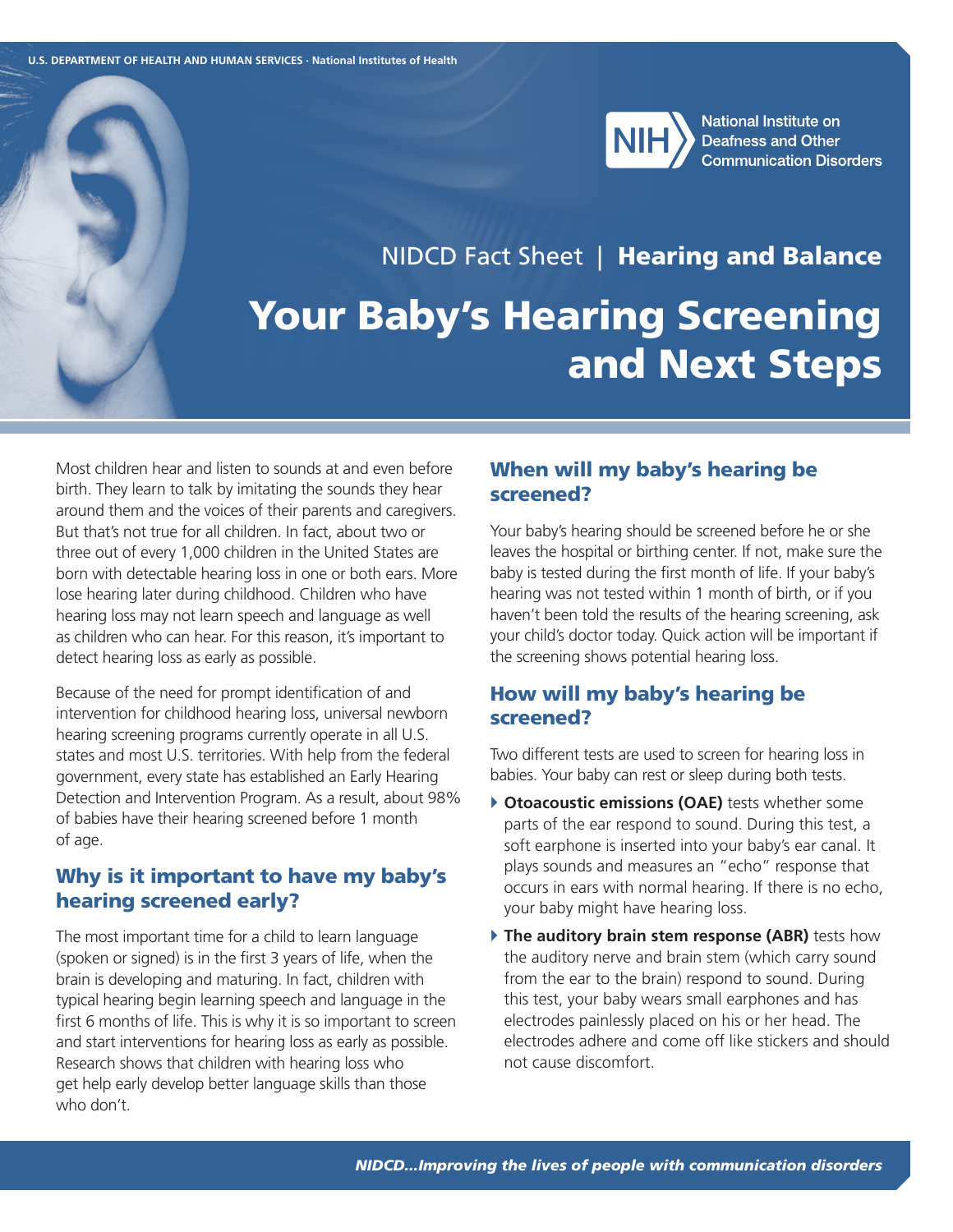

**National Institute on Deafness and Other Communication Disorders** 

# NIDCD Fact Sheet | Hearing and Balance Your Baby's Hearing Screening and Next Steps

Most children hear and listen to sounds at and even before birth. They learn to talk by imitating the sounds they hear around them and the voices of their parents and caregivers. But that's not true for all children. In fact, about two or three out of every 1,000 children in the United States are born with detectable hearing loss in one or both ears. More lose hearing later during childhood. Children who have hearing loss may not learn speech and language as well as children who can hear. For this reason, it's important to detect hearing loss as early as possible.

Because of the need for prompt identification of and intervention for childhood hearing loss, universal newborn hearing screening programs currently operate in all U.S. states and most U.S. territories. With help from the federal government, every state has established an Early Hearing Detection and Intervention Program. As a result, about 98% of babies have their hearing screened before 1 month of age.

# Why is it important to have my baby's hearing screened early?

The most important time for a child to learn language (spoken or signed) is in the first 3 years of life, when the brain is developing and maturing. In fact, children with typical hearing begin learning speech and language in the first 6 months of life. This is why it is so important to screen and start interventions for hearing loss as early as possible. Research shows that children with hearing loss who get help early develop better language skills than those who don't.

# When will my baby's hearing be screened?

Your baby's hearing should be screened before he or she leaves the hospital or birthing center. If not, make sure the baby is tested during the first month of life. If your baby's hearing was not tested within 1 month of birth, or if you haven't been told the results of the hearing screening, ask your child's doctor today. Quick action will be important if the screening shows potential hearing loss.

## How will my baby's hearing be screened?

Two different tests are used to screen for hearing loss in babies. Your baby can rest or sleep during both tests.

- **Consensustic emissions (OAE)** tests whether some parts of the ear respond to sound. During this test, a soft earphone is inserted into your baby's ear canal. It plays sounds and measures an "echo" response that occurs in ears with normal hearing. If there is no echo, your baby might have hearing loss.
- **The auditory brain stem response (ABR)** tests how the auditory nerve and brain stem (which carry sound from the ear to the brain) respond to sound. During this test, your baby wears small earphones and has electrodes painlessly placed on his or her head. The electrodes adhere and come off like stickers and should not cause discomfort.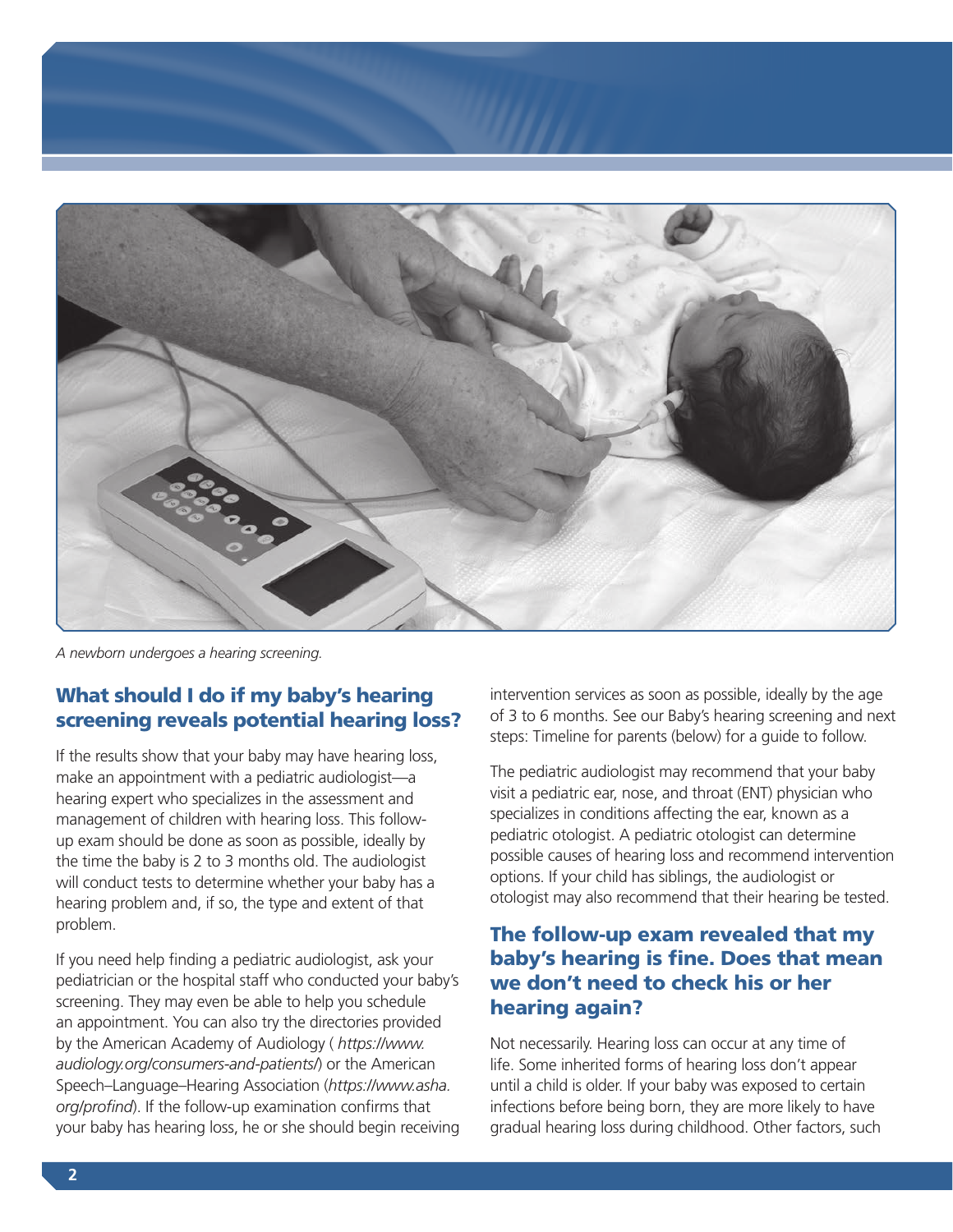

*A newborn undergoes a hearing screening.*

# What should I do if my baby's hearing screening reveals potential hearing loss?

If the results show that your baby may have hearing loss, make an appointment with a pediatric audiologist—a hearing expert who specializes in the assessment and management of children with hearing loss. This followup exam should be done as soon as possible, ideally by the time the baby is 2 to 3 months old. The audiologist will conduct tests to determine whether your baby has a hearing problem and, if so, the type and extent of that problem.

If you need help finding a pediatric audiologist, ask your pediatrician or the hospital staff who conducted your baby's screening. They may even be able to help you schedule an appointment. You can also try the directories provided by the American Academy of Audiology ( *[https://www.](https://www.audiology.org/consumers-and-patients/) [audiology.org/consumers-and-patients/](https://www.audiology.org/consumers-and-patients/)*) or the American Speech–Language–Hearing Association (*[https://www.asha.](https://www.asha.org/profind) [org/profind](https://www.asha.org/profind)*). If the follow-up examination confirms that your baby has hearing loss, he or she should begin receiving intervention services as soon as possible, ideally by the age of 3 to 6 months. See our Baby's hearing screening and next steps: Timeline for parents (below) for a guide to follow.

The pediatric audiologist may recommend that your baby visit a pediatric ear, nose, and throat (ENT) physician who specializes in conditions affecting the ear, known as a pediatric otologist. A pediatric otologist can determine possible causes of hearing loss and recommend intervention options. If your child has siblings, the audiologist or otologist may also recommend that their hearing be tested.

# The follow-up exam revealed that my baby's hearing is fine. Does that mean we don't need to check his or her hearing again?

Not necessarily. Hearing loss can occur at any time of life. Some inherited forms of hearing loss don't appear until a child is older. If your baby was exposed to certain infections before being born, they are more likely to have gradual hearing loss during childhood. Other factors, such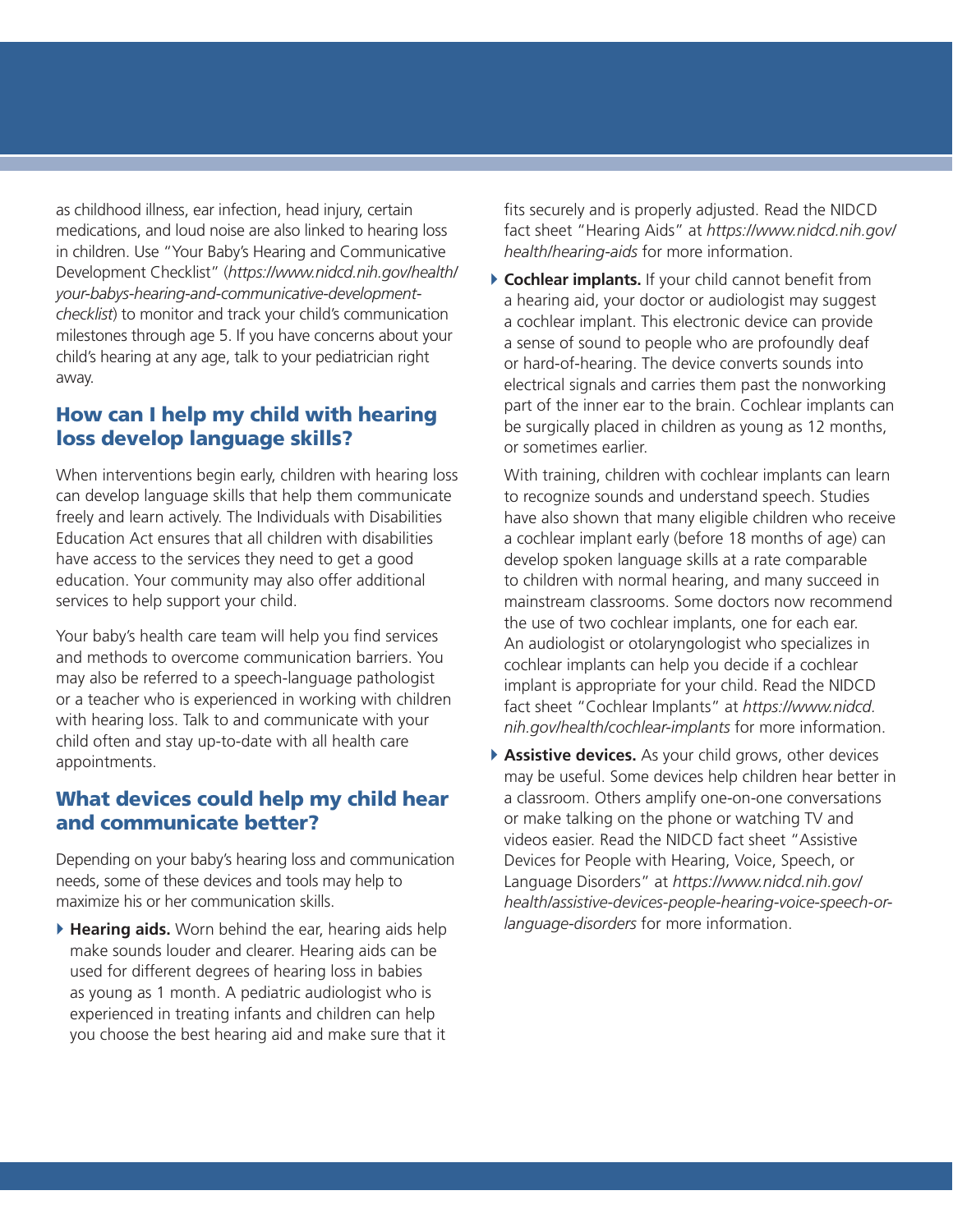as childhood illness, ear infection, head injury, certain medications, and loud noise are also linked to hearing loss in children. Use "Your Baby's Hearing and Communicative Development Checklist" (*[https://www.nidcd.nih.gov/health/](https://www.nidcd.nih.gov/health/your-babys-hearing-and-communicative-development-checklist) [your-babys-hearing-and-communicative-development](https://www.nidcd.nih.gov/health/your-babys-hearing-and-communicative-development-checklist)[checklist](https://www.nidcd.nih.gov/health/your-babys-hearing-and-communicative-development-checklist)*) to monitor and track your child's communication milestones through age 5. If you have concerns about your child's hearing at any age, talk to your pediatrician right away.

# How can I help my child with hearing loss develop language skills?

When interventions begin early, children with hearing loss can develop language skills that help them communicate freely and learn actively. The Individuals with Disabilities Education Act ensures that all children with disabilities have access to the services they need to get a good education. Your community may also offer additional services to help support your child.

Your baby's health care team will help you find services and methods to overcome communication barriers. You may also be referred to a speech-language pathologist or a teacher who is experienced in working with children with hearing loss. Talk to and communicate with your child often and stay up-to-date with all health care appointments.

# What devices could help my child hear and communicate better?

Depending on your baby's hearing loss and communication needs, some of these devices and tools may help to maximize his or her communication skills.

} **Hearing aids.** Worn behind the ear, hearing aids help make sounds louder and clearer. Hearing aids can be used for different degrees of hearing loss in babies as young as 1 month. A pediatric audiologist who is experienced in treating infants and children can help you choose the best hearing aid and make sure that it

fits securely and is properly adjusted. Read the NIDCD fact sheet "Hearing Aids" at *[https://www.nidcd.nih.gov/](https://www.nidcd.nih.gov/health/hearing-aids) [health/hearing-aids](https://www.nidcd.nih.gov/health/hearing-aids)* for more information.

} **Cochlear implants.** If your child cannot benefit from a hearing aid, your doctor or audiologist may suggest a cochlear implant. This electronic device can provide a sense of sound to people who are profoundly deaf or hard-of-hearing. The device converts sounds into electrical signals and carries them past the nonworking part of the inner ear to the brain. Cochlear implants can be surgically placed in children as young as 12 months, or sometimes earlier.

With training, children with cochlear implants can learn to recognize sounds and understand speech. Studies have also shown that many eligible children who receive a cochlear implant early (before 18 months of age) can develop spoken language skills at a rate comparable to children with normal hearing, and many succeed in mainstream classrooms. Some doctors now recommend the use of two cochlear implants, one for each ear. An audiologist or otolaryngologist who specializes in cochlear implants can help you decide if a cochlear implant is appropriate for your child. Read the NIDCD fact sheet "Cochlear Implants" at *[https://www.nidcd.](https://www.nidcd.nih.gov/health/cochlear-implants) [nih.gov/health/cochlear-implants](https://www.nidcd.nih.gov/health/cochlear-implants)* for more information.

} **Assistive devices.** As your child grows, other devices may be useful. Some devices help children hear better in a classroom. Others amplify one-on-one conversations or make talking on the phone or watching TV and videos easier. Read the NIDCD fact sheet "Assistive Devices for People with Hearing, Voice, Speech, or Language Disorders" at *[https://www.nidcd.nih.gov/](https://www.nidcd.nih.gov/health/assistive-devices-people-hearing-voice-speech-or-language-disorders) [health/assistive-devices-people-hearing-voice-speech-or](https://www.nidcd.nih.gov/health/assistive-devices-people-hearing-voice-speech-or-language-disorders)[language-disorders](https://www.nidcd.nih.gov/health/assistive-devices-people-hearing-voice-speech-or-language-disorders)* for more information.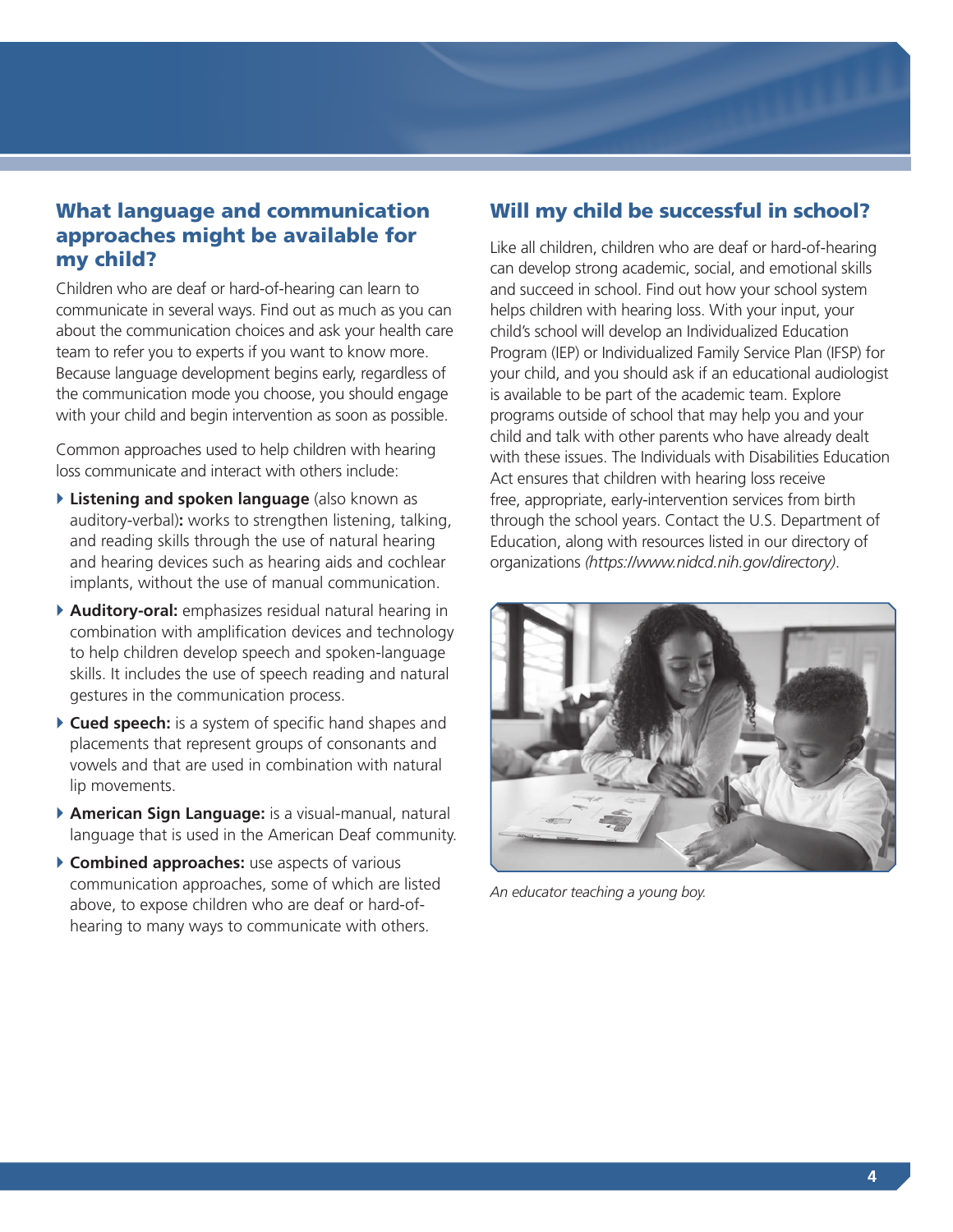

# What language and communication approaches might be available for my child?

Children who are deaf or hard-of-hearing can learn to communicate in several ways. Find out as much as you can about the communication choices and ask your health care team to refer you to experts if you want to know more. Because language development begins early, regardless of the communication mode you choose, you should engage with your child and begin intervention as soon as possible.

Common approaches used to help children with hearing loss communicate and interact with others include:

- } **Listening and spoken language** (also known as auditory-verbal)**:** works to strengthen listening, talking, and reading skills through the use of natural hearing and hearing devices such as hearing aids and cochlear implants, without the use of manual communication.
- } **Auditory-oral:** emphasizes residual natural hearing in combination with amplification devices and technology to help children develop speech and spoken-language skills. It includes the use of speech reading and natural gestures in the communication process.
- } **Cued speech:** is a system of specific hand shapes and placements that represent groups of consonants and vowels and that are used in combination with natural lip movements.
- } **American Sign Language:** is a visual-manual, natural language that is used in the American Deaf community.
- } **Combined approaches:** use aspects of various communication approaches, some of which are listed above, to expose children who are deaf or hard-ofhearing to many ways to communicate with others.

# Will my child be successful in school?

Like all children, children who are deaf or hard-of-hearing can develop strong academic, social, and emotional skills and succeed in school. Find out how your school system helps children with hearing loss. With your input, your child's school will develop an Individualized Education Program (IEP) or Individualized Family Service Plan (IFSP) for your child, and you should ask if an educational audiologist is available to be part of the academic team. Explore programs outside of school that may help you and your child and talk with other parents who have already dealt with these issues. The Individuals with Disabilities Education Act ensures that children with hearing loss receive free, appropriate, early-intervention services from birth through the school years. Contact the U.S. Department of Education, along with resources listed in our directory of organizations *(<https://www.nidcd.nih.gov/directory>)*.



*An educator teaching a young boy.*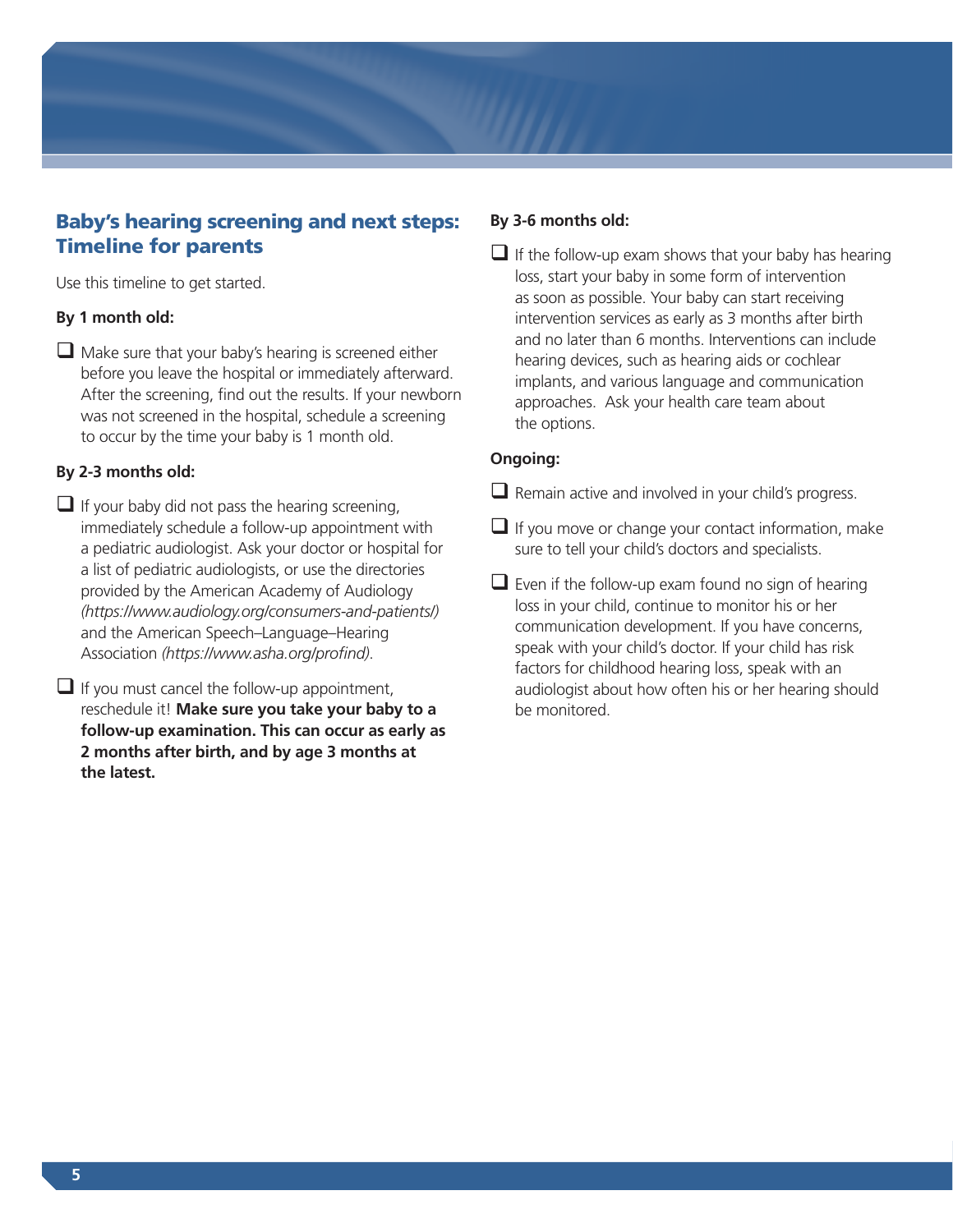# Baby's hearing screening and next steps: Timeline for parents

Use this timeline to get started.

## **By 1 month old:**

 $\Box$  Make sure that your baby's hearing is screened either before you leave the hospital or immediately afterward. After the screening, find out the results. If your newborn was not screened in the hospital, schedule a screening to occur by the time your baby is 1 month old.

## **By 2-3 months old:**

- $\Box$  If your baby did not pass the hearing screening, immediately schedule a follow-up appointment with a pediatric audiologist. Ask your doctor or hospital for a list of pediatric audiologists, or use the directories provided by the American Academy of Audiology *[\(https://www.audiology.org/consumers-and-patients/\)](https://www.audiology.org/consumers-0)* and the American Speech–Language–Hearing Association *[\(https://www.asha.org/profind](https://www.asha.org/profind))*.
- $\Box$  If you must cancel the follow-up appointment, reschedule it! **Make sure you take your baby to a follow-up examination. This can occur as early as 2 months after birth, and by age 3 months at the latest.**

### **By 3-6 months old:**

 $\Box$  If the follow-up exam shows that your baby has hearing loss, start your baby in some form of intervention as soon as possible. Your baby can start receiving intervention services as early as 3 months after birth and no later than 6 months. Interventions can include hearing devices, such as hearing aids or cochlear implants, and various language and communication approaches. Ask your health care team about the options.

## **Ongoing:**

- $\Box$  Remain active and involved in your child's progress.
- $\Box$  If you move or change your contact information, make sure to tell your child's doctors and specialists.
- $\Box$  Even if the follow-up exam found no sign of hearing loss in your child, continue to monitor his or her communication development. If you have concerns, speak with your child's doctor. If your child has risk factors for childhood hearing loss, speak with an audiologist about how often his or her hearing should be monitored.